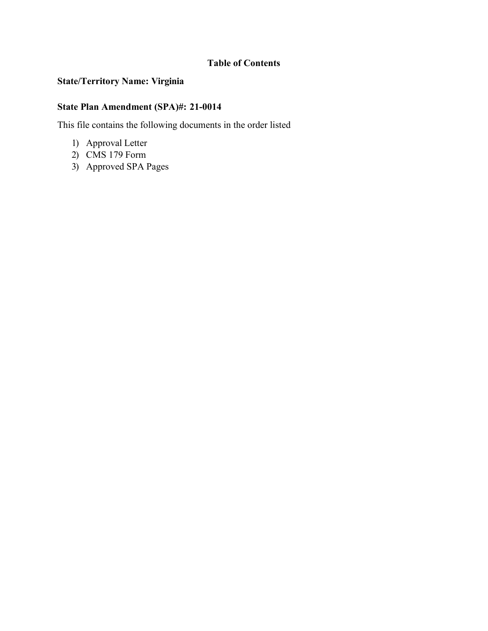# **Table of Contents**

## **State/Territory Name: Virginia**

## **State Plan Amendment (SPA)#: 21-0014**

This file contains the following documents in the order listed

- 1) Approval Letter
- 2) CMS 179 Form
- 3) Approved SPA Pages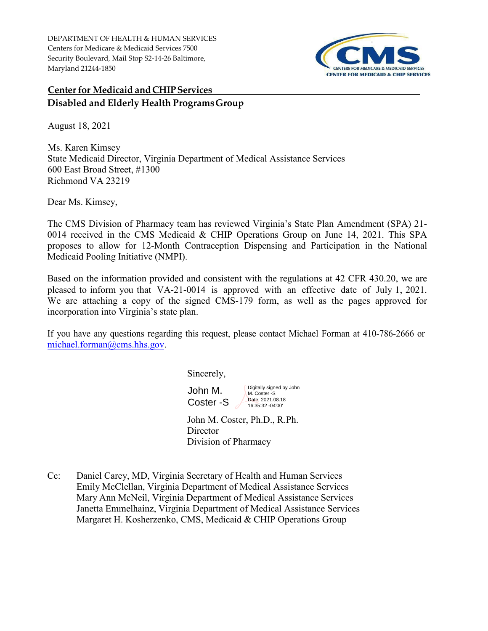DEPARTMENT OF HEALTH & HUMAN SERVICES Centers for Medicare & Medicaid Services 7500 Security Boulevard, Mail Stop S2-14-26 Baltimore, Maryland 21244-1850



# **Center for Medicaid and CHIP Services Disabled and Elderly Health ProgramsGroup**

August 18, 2021

Ms. Karen Kimsey State Medicaid Director, Virginia Department of Medical Assistance Services 600 East Broad Street, #1300 Richmond VA 23219

Dear Ms. Kimsey,

The CMS Division of Pharmacy team has reviewed Virginia's State Plan Amendment (SPA) 21- 0014 received in the CMS Medicaid & CHIP Operations Group on June 14, 2021. This SPA proposes to allow for 12-Month Contraception Dispensing and Participation in the National Medicaid Pooling Initiative (NMPI).

Based on the information provided and consistent with the regulations at 42 CFR 430.20, we are pleased to inform you that VA-21-0014 is approved with an effective date of July 1, 2021. We are attaching a copy of the signed CMS-179 form, as well as the pages approved for incorporation into Virginia's state plan.

If you have any questions regarding this request, please contact Michael Forman at 410-786-2666 or [michael.forman@cms.hhs.gov.](mailto:michael.forman@cms.hhs.gov)

Sincerely,

John M. Coster -S Digitally signed by John M. Coster -S Date: 2021.08.18 16:35:32 -04'00'

John M. Coster, Ph.D., R.Ph. **Director** Division of Pharmacy

Cc: Daniel Carey, MD, Virginia Secretary of Health and Human Services Emily McClellan, Virginia Department of Medical Assistance Services Mary Ann McNeil, Virginia Department of Medical Assistance Services Janetta Emmelhainz, Virginia Department of Medical Assistance Services Margaret H. Kosherzenko, CMS, Medicaid & CHIP Operations Group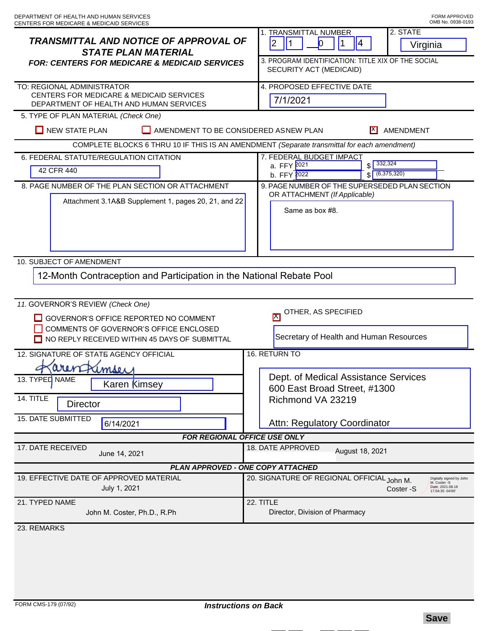| <b>TRANSMITTAL AND NOTICE OF APPROVAL OF</b><br><b>STATE PLAN MATERIAL</b><br><b>FOR: CENTERS FOR MEDICARE &amp; MEDICAID SERVICES</b>                                | 2. STATE<br>1. TRANSMITTAL NUMBER<br>2<br>1<br>$\bf{0}$<br> 4<br>Virginia<br>3. PROGRAM IDENTIFICATION: TITLE XIX OF THE SOCIAL<br>SECURITY ACT (MEDICAID) |
|-----------------------------------------------------------------------------------------------------------------------------------------------------------------------|------------------------------------------------------------------------------------------------------------------------------------------------------------|
| TO: REGIONAL ADMINISTRATOR<br>CENTERS FOR MEDICARE & MEDICAID SERVICES<br>DEPARTMENT OF HEALTH AND HUMAN SERVICES                                                     | 4. PROPOSED EFFECTIVE DATE<br>7/1/2021                                                                                                                     |
| 5. TYPE OF PLAN MATERIAL (Check One)                                                                                                                                  |                                                                                                                                                            |
| <b>NEW STATE PLAN</b><br>AMENDMENT TO BE CONSIDERED ASNEW PLAN<br>IX I<br>AMENDMENT                                                                                   |                                                                                                                                                            |
| COMPLETE BLOCKS 6 THRU 10 IF THIS IS AN AMENDMENT (Separate transmittal for each amendment)<br>7. FEDERAL BUDGET IMPACT<br>6. FEDERAL STATUTE/REGULATION CITATION     |                                                                                                                                                            |
| 42 CFR 440                                                                                                                                                            | $$ \frac{332,324}{ }$<br>a. FFY 2021<br>$\sqrt{(6,375,320)}$<br>b. FFY 2022                                                                                |
| 8. PAGE NUMBER OF THE PLAN SECTION OR ATTACHMENT                                                                                                                      | 9. PAGE NUMBER OF THE SUPERSEDED PLAN SECTION<br>OR ATTACHMENT (If Applicable)                                                                             |
| Attachment 3.1A&B Supplement 1, pages 20, 21, and 22                                                                                                                  | Same as box #8.                                                                                                                                            |
| 10. SUBJECT OF AMENDMENT                                                                                                                                              |                                                                                                                                                            |
| 12-Month Contraception and Participation in the National Rebate Pool                                                                                                  |                                                                                                                                                            |
| 11. GOVERNOR'S REVIEW (Check One)<br>GOVERNOR'S OFFICE REPORTED NO COMMENT<br>COMMENTS OF GOVERNOR'S OFFICE ENCLOSED<br>NO REPLY RECEIVED WITHIN 45 DAYS OF SUBMITTAL | OTHER, AS SPECIFIED<br>$ \mathsf{X} $<br>Secretary of Health and Human Resources                                                                           |
| 12. SIGNATURE OF STATE AGENCY OFFICIAL                                                                                                                                | 16. RETURN TO                                                                                                                                              |
| arenfrimser                                                                                                                                                           |                                                                                                                                                            |
| 13. TYPED NAME<br>Karen Kimsey<br>14. TITLE<br><b>Director</b><br>15. DATE SUBMITTED<br>6/14/2021                                                                     | Dept. of Medical Assistance Services<br>600 East Broad Street, #1300<br>Richmond VA 23219<br>Attn: Regulatory Coordinator                                  |
| FOR REGIONAL OFFICE USE ONLY                                                                                                                                          |                                                                                                                                                            |
| 17. DATE RECEIVED<br>June 14, 2021                                                                                                                                    | 18. DATE APPROVED<br>August 18, 2021                                                                                                                       |
| PLAN APPROVED - ONE COPY ATTACHED                                                                                                                                     |                                                                                                                                                            |
| 19. EFFECTIVE DATE OF APPROVED MATERIAL<br>July 1, 2021                                                                                                               | 20. SIGNATURE OF REGIONAL OFFICIAL John M.<br>Digitally signed by John<br>M. Coster -S<br>Date: 2021.08.18<br>Coster -S<br>17:04:35 -04'00'                |
| 21. TYPED NAME<br>John M. Coster, Ph.D., R.Ph                                                                                                                         | 22. TITLE<br>Director, Division of Pharmacy                                                                                                                |
| 23. REMARKS                                                                                                                                                           |                                                                                                                                                            |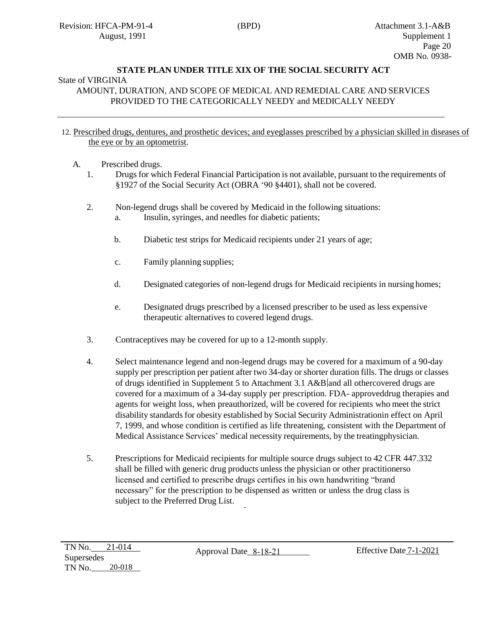## **STATE PLAN UNDER TITLE XIX OF THE SOCIAL SECURITY ACT**

### State of VIRGINIA

AMOUNT, DURATION, AND SCOPE OF MEDICAL AND REMEDIAL CARE AND SERVICES PROVIDED TO THE CATEGORICALLY NEEDY and MEDICALLY NEEDY

#### 12. Prescribed drugs, dentures, and prosthetic devices; and eyeglasses prescribed by a physician skilled in diseases of the eye or by an optometrist.

- A. Prescribed drugs.
	- 1. Drugs for which Federal Financial Participation is not available, pursuant to the requirements of §1927 of the Social Security Act (OBRA '90 §4401), shall not be covered.
	- 2. Non-legend drugs shall be covered by Medicaid in the following situations:
		- a. Insulin, syringes, and needles for diabetic patients;
		- b. Diabetic test strips for Medicaid recipients under 21 years of age;
		- c. Family planning supplies;
		- d. Designated categories of non-legend drugs for Medicaid recipients in nursing homes;
		- e. Designated drugs prescribed by a licensed prescriber to be used as less expensive therapeutic alternatives to covered legend drugs.
	- 3. Contraceptives may be covered for up to a 12-month supply.
	- 4. Select maintenance legend and non-legend drugs may be covered for a maximum of a 90-day supply per prescription per patient after two 34-day or shorter duration fills. The drugs or classes of drugs identified in Supplement 5 to Attachment 3.1 A&B and all othercovered drugs are covered for a maximum of a 34-day supply per prescription. FDA- approveddrug therapies and agents for weight loss, when preauthorized, will be covered for recipients who meet the strict disability standards for obesity established by Social Security Administrationin effect on April 7, 1999, and whose condition is certified as life threatening, consistent with the Department of Medical Assistance Services' medical necessity requirements, by the treatingphysician.
	- 5. Prescriptions for Medicaid recipients for multiple source drugs subject to 42 CFR 447.332 shall be filled with generic drug products unless the physician or other practitionerso licensed and certified to prescribe drugs certifies in his own handwriting "brand necessary" for the prescription to be dispensed as written or unless the drug class is subject to the Preferred Drug List.

Approval Date 8-18-21 Effective Date 7-1-2021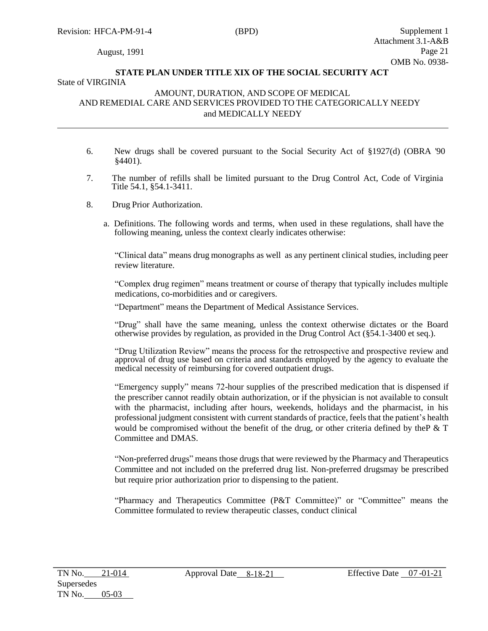### August, 1991

### **STATE PLAN UNDER TITLE XIX OF THE SOCIAL SECURITY ACT** State of VIRGINIA

#### AMOUNT, DURATION, AND SCOPE OF MEDICAL AND REMEDIAL CARE AND SERVICES PROVIDED TO THE CATEGORICALLY NEEDY and MEDICALLY NEEDY

- 6. New drugs shall be covered pursuant to the Social Security Act of §1927(d) (OBRA '90 §4401).
- 7. The number of refills shall be limited pursuant to the Drug Control Act, Code of Virginia Title 54.1, §54.1-3411.
- 8. Drug Prior Authorization.
	- a. Definitions. The following words and terms, when used in these regulations, shall have the following meaning, unless the context clearly indicates otherwise:

"Clinical data" means drug monographs as well as any pertinent clinical studies, including peer review literature.

"Complex drug regimen" means treatment or course of therapy that typically includes multiple medications, co-morbidities and or caregivers.

"Department" means the Department of Medical Assistance Services.

"Drug" shall have the same meaning, unless the context otherwise dictates or the Board otherwise provides by regulation, as provided in the Drug Control Act (§54.1-3400 et seq.).

"Drug Utilization Review" means the process for the retrospective and prospective review and approval of drug use based on criteria and standards employed by the agency to evaluate the medical necessity of reimbursing for covered outpatient drugs.

"Emergency supply" means 72-hour supplies of the prescribed medication that is dispensed if the prescriber cannot readily obtain authorization, or if the physician is not available to consult with the pharmacist, including after hours, weekends, holidays and the pharmacist, in his professional judgment consistent with current standards of practice, feels that the patient's health would be compromised without the benefit of the drug, or other criteria defined by theP & T Committee and DMAS.

"Non-preferred drugs" means those drugs that were reviewed by the Pharmacy and Therapeutics Committee and not included on the preferred drug list. Non-preferred drugsmay be prescribed but require prior authorization prior to dispensing to the patient.

"Pharmacy and Therapeutics Committee (P&T Committee)" or "Committee" means the Committee formulated to review therapeutic classes, conduct clinical